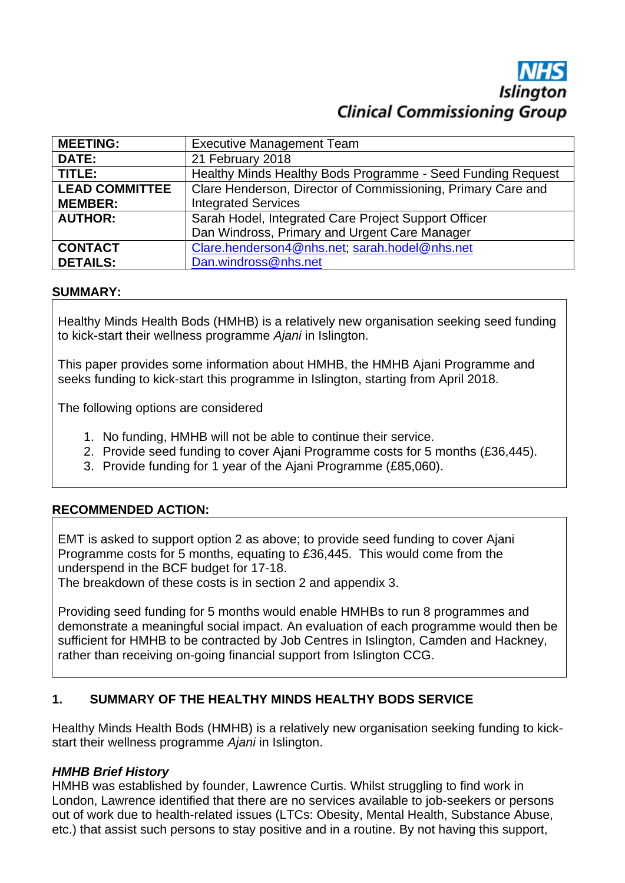# **Islington Clinical Commissioning Group**

| <b>MEETING:</b>       | <b>Executive Management Team</b>                             |
|-----------------------|--------------------------------------------------------------|
| <b>DATE:</b>          | 21 February 2018                                             |
| TITLE:                | Healthy Minds Healthy Bods Programme - Seed Funding Request  |
| <b>LEAD COMMITTEE</b> | Clare Henderson, Director of Commissioning, Primary Care and |
| <b>MEMBER:</b>        | <b>Integrated Services</b>                                   |
| <b>AUTHOR:</b>        | Sarah Hodel, Integrated Care Project Support Officer         |
|                       | Dan Windross, Primary and Urgent Care Manager                |
| <b>CONTACT</b>        | Clare.henderson4@nhs.net; sarah.hodel@nhs.net                |
| <b>DETAILS:</b>       | Dan.windross@nhs.net                                         |

### **SUMMARY:**

Healthy Minds Health Bods (HMHB) is a relatively new organisation seeking seed funding to kick-start their wellness programme *Ajani* in Islington.

This paper provides some information about HMHB, the HMHB Ajani Programme and seeks funding to kick-start this programme in Islington, starting from April 2018.

The following options are considered

- 1. No funding, HMHB will not be able to continue their service.
- 2. Provide seed funding to cover Ajani Programme costs for 5 months (£36,445).
- 3. Provide funding for 1 year of the Ajani Programme (£85,060).

### **RECOMMENDED ACTION:**

EMT is asked to support option 2 as above; to provide seed funding to cover Ajani Programme costs for 5 months, equating to £36,445. This would come from the underspend in the BCF budget for 17-18.

The breakdown of these costs is in section 2 and appendix 3.

Providing seed funding for 5 months would enable HMHBs to run 8 programmes and demonstrate a meaningful social impact. An evaluation of each programme would then be sufficient for HMHB to be contracted by Job Centres in Islington, Camden and Hackney, rather than receiving on-going financial support from Islington CCG.

### **1. SUMMARY OF THE HEALTHY MINDS HEALTHY BODS SERVICE**

Healthy Minds Health Bods (HMHB) is a relatively new organisation seeking funding to kickstart their wellness programme *Ajani* in Islington.

### *HMHB Brief History*

HMHB was established by founder, Lawrence Curtis. Whilst struggling to find work in London, Lawrence identified that there are no services available to job-seekers or persons out of work due to health-related issues (LTCs: Obesity, Mental Health, Substance Abuse, etc.) that assist such persons to stay positive and in a routine. By not having this support,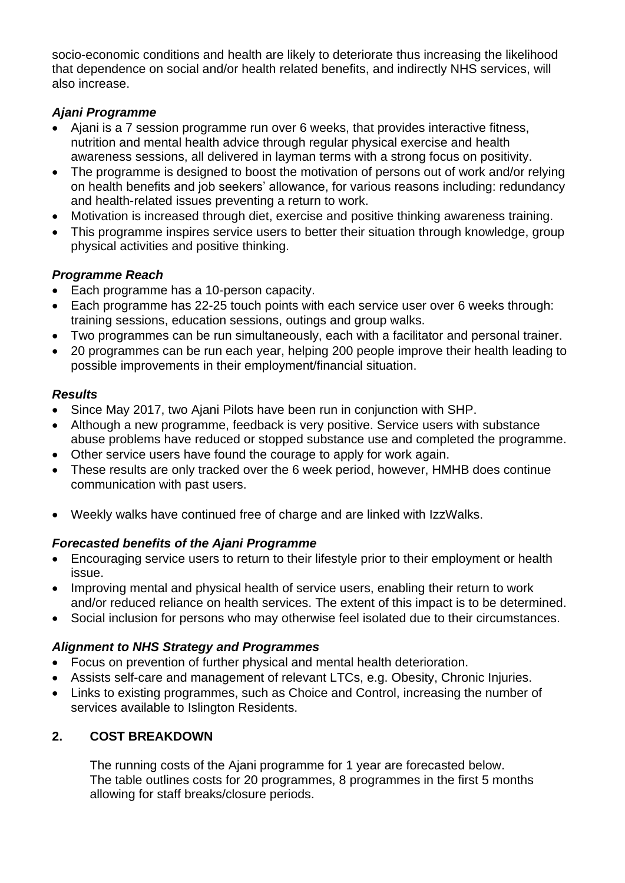socio-economic conditions and health are likely to deteriorate thus increasing the likelihood that dependence on social and/or health related benefits, and indirectly NHS services, will also increase.

### *Ajani Programme*

- Ajani is a 7 session programme run over 6 weeks, that provides interactive fitness, nutrition and mental health advice through regular physical exercise and health awareness sessions, all delivered in layman terms with a strong focus on positivity.
- The programme is designed to boost the motivation of persons out of work and/or relying on health benefits and job seekers' allowance, for various reasons including: redundancy and health-related issues preventing a return to work.
- Motivation is increased through diet, exercise and positive thinking awareness training.
- This programme inspires service users to better their situation through knowledge, group physical activities and positive thinking.

# *Programme Reach*

- Each programme has a 10-person capacity.
- Each programme has 22-25 touch points with each service user over 6 weeks through: training sessions, education sessions, outings and group walks.
- Two programmes can be run simultaneously, each with a facilitator and personal trainer.
- 20 programmes can be run each year, helping 200 people improve their health leading to possible improvements in their employment/financial situation.

# *Results*

- Since May 2017, two Ajani Pilots have been run in conjunction with SHP.
- Although a new programme, feedback is very positive. Service users with substance abuse problems have reduced or stopped substance use and completed the programme.
- Other service users have found the courage to apply for work again.
- These results are only tracked over the 6 week period, however, HMHB does continue communication with past users.
- Weekly walks have continued free of charge and are linked with IzzWalks.

# *Forecasted benefits of the Ajani Programme*

- Encouraging service users to return to their lifestyle prior to their employment or health issue.
- Improving mental and physical health of service users, enabling their return to work and/or reduced reliance on health services. The extent of this impact is to be determined.
- Social inclusion for persons who may otherwise feel isolated due to their circumstances.

# *Alignment to NHS Strategy and Programmes*

- Focus on prevention of further physical and mental health deterioration.
- Assists self-care and management of relevant LTCs, e.g. Obesity, Chronic Injuries.
- Links to existing programmes, such as Choice and Control, increasing the number of services available to Islington Residents.

# **2. COST BREAKDOWN**

The running costs of the Ajani programme for 1 year are forecasted below. The table outlines costs for 20 programmes, 8 programmes in the first 5 months allowing for staff breaks/closure periods.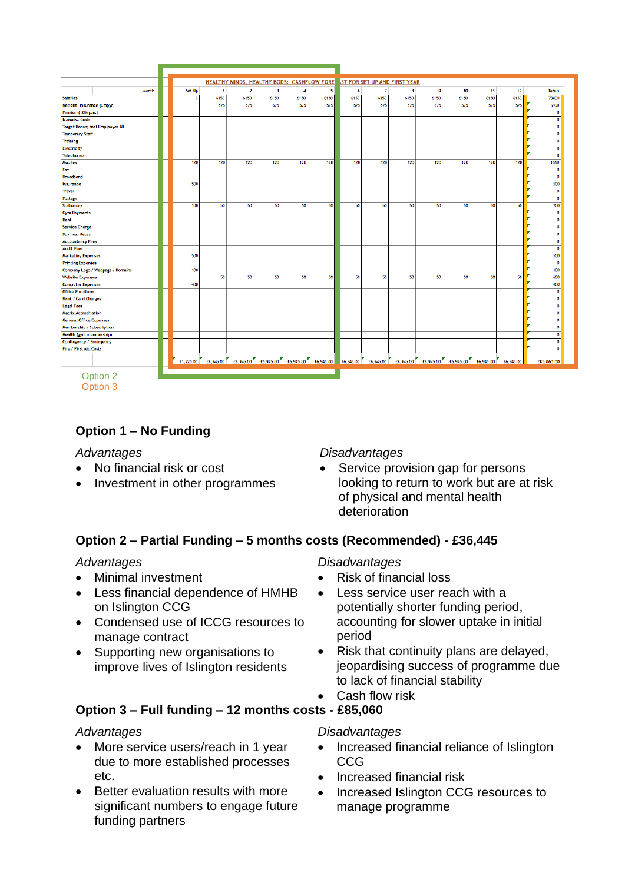|                                        |       |           |           |              |                         | HEALTHY MINDS, HEALTHY BODS: CASHFLOW FORE ST FOR SET UP AND FIRST YEAR |           |           |                |           |           |           |           |           |                                |
|----------------------------------------|-------|-----------|-----------|--------------|-------------------------|-------------------------------------------------------------------------|-----------|-----------|----------------|-----------|-----------|-----------|-----------|-----------|--------------------------------|
|                                        | Month | Set Up    | 1         | $\mathbf{2}$ | $\overline{\mathbf{3}}$ | 4                                                                       | 5         | 6         | $\overline{7}$ | 8         | 9         | 10        | 11        | 12        | <b>Totals</b>                  |
| <b>Salaries</b>                        |       | o         | 6150      | 6150         | 6150                    | 6150                                                                    | 6150      | 6150      | 6150           | 6150      | 6150      | 6150      | 6150      | 6150      | 73800                          |
| National Insurance (Empyr)             |       |           | 575       | 575          | 575                     | 575                                                                     | 575       | 575       | 575            | 575       | 575       | 575       | 575       | 575       | 6900                           |
| Pension (10% p.a.)                     |       |           |           |              |                         |                                                                         |           |           |                |           |           |           |           |           | $\overline{0}$                 |
| Izzwalkz Costs                         |       |           |           |              |                         |                                                                         |           |           |                |           |           |           |           |           | $\overline{0}$                 |
| <b>Target Bonus; incl Emplpoyer NI</b> |       |           |           |              |                         |                                                                         |           |           |                |           |           |           |           |           | $\overline{0}$                 |
| <b>Temporary Staff</b>                 |       |           |           |              |                         |                                                                         |           |           |                |           |           |           |           |           | $\overline{0}$                 |
| <b>Training</b>                        |       |           |           |              |                         |                                                                         |           |           |                |           |           |           |           |           | $\mathbf{0}$                   |
| <b>Electricity</b>                     |       |           |           |              |                         |                                                                         |           |           |                |           |           |           |           |           | $\overline{0}$                 |
| <b>Telephones</b>                      |       |           |           |              |                         |                                                                         |           |           |                |           |           |           |           |           | $\overline{0}$                 |
| <b>Mobiles</b>                         |       | 120       | 120       | 120          | 120                     | 120                                                                     | 120       | 120       | 120            | 120       | 120       | 120       | 120       | 120       | 1560                           |
| Fax                                    |       |           |           |              |                         |                                                                         |           |           |                |           |           |           |           |           | $\mathbf 0$                    |
| <b>Broadband</b>                       |       |           |           |              |                         |                                                                         |           |           |                |           |           |           |           |           | $\overline{0}$                 |
| Insurance                              |       | 500       |           |              |                         |                                                                         |           |           |                |           |           |           |           |           | 500                            |
| Travel                                 |       |           |           |              |                         |                                                                         |           |           |                |           |           |           |           |           | $\overline{0}$                 |
| Postage                                |       |           |           |              |                         |                                                                         |           |           |                |           |           |           |           |           | $\overline{0}$                 |
| <b>Stationery</b>                      |       | 100       | 50        | 50           | 50                      | 50                                                                      | 50        | 50        | 50             | 50        | 50        | 50        | 50        | 50        | 700                            |
| <b>Gym Payments</b>                    |       |           |           |              |                         |                                                                         |           |           |                |           |           |           |           |           | $\overline{0}$                 |
| Rent                                   |       |           |           |              |                         |                                                                         |           |           |                |           |           |           |           |           |                                |
| <b>Service Charge</b>                  |       |           |           |              |                         |                                                                         |           |           |                |           |           |           |           |           |                                |
| <b>Business Rates</b>                  |       |           |           |              |                         |                                                                         |           |           |                |           |           |           |           |           | $\overline{0}$                 |
| <b>Accountancy Fees</b>                |       |           |           |              |                         |                                                                         |           |           |                |           |           |           |           |           | $\circ$                        |
| <b>Audit Fees</b>                      |       |           |           |              |                         |                                                                         |           |           |                |           |           |           |           |           | $\mathbf{0}$                   |
| <b>Marketing Expenses</b>              |       | 500       |           |              |                         |                                                                         |           |           |                |           |           |           |           |           | 500                            |
| <b>Printing Expenses</b>               |       |           |           |              |                         |                                                                         |           |           |                |           |           |           |           |           | $\overline{0}$                 |
| Company Logo / Webpage / Domains       |       | 100       |           |              |                         |                                                                         |           |           |                |           |           |           |           |           | 100                            |
| <b>Website Expenses</b>                |       |           | 50        | 50           | 50                      | 50                                                                      | 50        | 50        | 50             | 50        | 50        | 50        | 50        | 50        | 600                            |
| <b>Computer Expenses</b>               |       | 400       |           |              |                         |                                                                         |           |           |                |           |           |           |           |           | 400                            |
| <b>Office Furniture</b>                |       |           |           |              |                         |                                                                         |           |           |                |           |           |           |           |           | $\overline{0}$                 |
| <b>Bank / Card Charges</b>             |       |           |           |              |                         |                                                                         |           |           |                |           |           |           |           |           | $\overline{0}$                 |
| <b>Legal Fees</b>                      |       |           |           |              |                         |                                                                         |           |           |                |           |           |           |           |           | $\overline{0}$                 |
| <b>Matrix Accreditation</b>            |       |           |           |              |                         |                                                                         |           |           |                |           |           |           |           |           | $\mathbf{0}$<br>$\overline{0}$ |
| <b>General Office Expenses</b>         |       |           |           |              |                         |                                                                         |           |           |                |           |           |           |           |           |                                |
| Membership / Subscription              |       |           |           |              |                         |                                                                         |           |           |                |           |           |           |           |           |                                |
| Health (gym membership)                |       |           |           |              |                         |                                                                         |           |           |                |           |           |           |           |           | $\mathbf{0}$                   |
| Contingency / Emergency                |       |           |           |              |                         |                                                                         |           |           |                |           |           |           |           |           |                                |
| <b>Fire / First Aid Costs</b>          |       |           |           |              |                         |                                                                         |           |           |                |           |           |           |           |           |                                |
|                                        |       | £1,720.00 | £6,945.00 | £6,945.00    | £6,945.00               | £6,945.00                                                               | £6,945.00 | £6,945.00 | £6,945.00      | £6,945.00 | £6,945.00 | £6,945.00 | £6,945.00 | £6,945.00 | £85,060.00                     |
|                                        |       |           |           |              |                         |                                                                         |           |           |                |           |           |           |           |           |                                |
| Option 2                               |       |           |           |              |                         |                                                                         |           |           |                |           |           |           |           |           |                                |
| Option 3                               |       |           |           |              |                         |                                                                         |           |           |                |           |           |           |           |           |                                |

# **Option 1 – No Funding**

- No financial risk or cost
- Investment in other programmes

### *Advantages Disadvantages*

• Service provision gap for persons looking to return to work but are at risk of physical and mental health deterioration

# **Option 2 – Partial Funding – 5 months costs (Recommended) - £36,445**

- Minimal investment
- Less financial dependence of HMHB on Islington CCG
- Condensed use of ICCG resources to manage contract
- Supporting new organisations to improve lives of Islington residents

### *Advantages Disadvantages*

- Risk of financial loss
- Less service user reach with a potentially shorter funding period, accounting for slower uptake in initial period
- Risk that continuity plans are delayed, jeopardising success of programme due to lack of financial stability
- Cash flow risk

# **Option 3 – Full funding – 12 months costs - £85,060**

- More service users/reach in 1 year due to more established processes etc.
- Better evaluation results with more significant numbers to engage future funding partners

### *Advantages Disadvantages*

- Increased financial reliance of Islington CCG
- Increased financial risk
- Increased Islington CCG resources to manage programme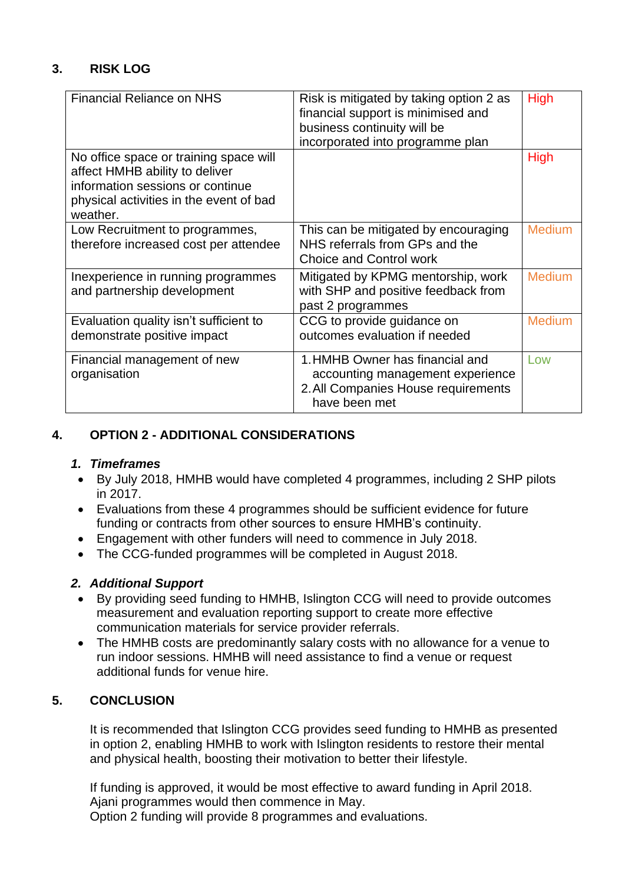# **3. RISK LOG**

| <b>Financial Reliance on NHS</b>                                                                                                                                    | Risk is mitigated by taking option 2 as<br>financial support is minimised and<br>business continuity will be<br>incorporated into programme plan | <b>High</b>   |
|---------------------------------------------------------------------------------------------------------------------------------------------------------------------|--------------------------------------------------------------------------------------------------------------------------------------------------|---------------|
| No office space or training space will<br>affect HMHB ability to deliver<br>information sessions or continue<br>physical activities in the event of bad<br>weather. |                                                                                                                                                  | <b>High</b>   |
| Low Recruitment to programmes,<br>therefore increased cost per attendee                                                                                             | This can be mitigated by encouraging<br>NHS referrals from GPs and the<br>Choice and Control work                                                | <b>Medium</b> |
| Inexperience in running programmes<br>and partnership development                                                                                                   | Mitigated by KPMG mentorship, work<br>with SHP and positive feedback from<br>past 2 programmes                                                   | <b>Medium</b> |
| Evaluation quality isn't sufficient to<br>demonstrate positive impact                                                                                               | CCG to provide guidance on<br>outcomes evaluation if needed                                                                                      | <b>Medium</b> |
| Financial management of new<br>organisation                                                                                                                         | 1. HMHB Owner has financial and<br>accounting management experience<br>2. All Companies House requirements<br>have been met                      | l ow          |

### **4. OPTION 2 - ADDITIONAL CONSIDERATIONS**

### *1. Timeframes*

- By July 2018, HMHB would have completed 4 programmes, including 2 SHP pilots in 2017.
- Evaluations from these 4 programmes should be sufficient evidence for future funding or contracts from other sources to ensure HMHB's continuity.
- Engagement with other funders will need to commence in July 2018.
- The CCG-funded programmes will be completed in August 2018.

### *2. Additional Support*

- By providing seed funding to HMHB, Islington CCG will need to provide outcomes measurement and evaluation reporting support to create more effective communication materials for service provider referrals.
- The HMHB costs are predominantly salary costs with no allowance for a venue to run indoor sessions. HMHB will need assistance to find a venue or request additional funds for venue hire.

### **5. CONCLUSION**

It is recommended that Islington CCG provides seed funding to HMHB as presented in option 2, enabling HMHB to work with Islington residents to restore their mental and physical health, boosting their motivation to better their lifestyle.

If funding is approved, it would be most effective to award funding in April 2018. Ajani programmes would then commence in May. Option 2 funding will provide 8 programmes and evaluations.